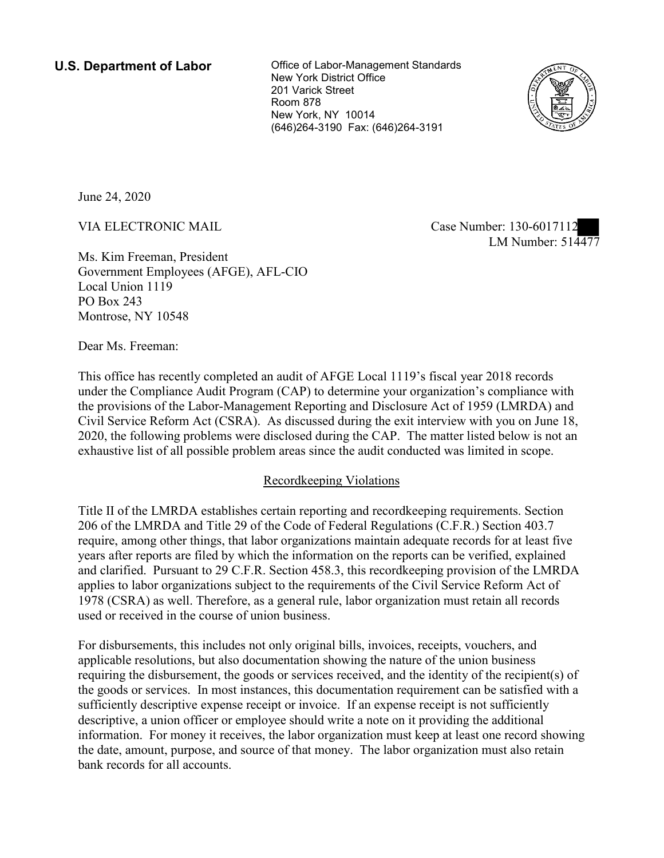New York, NY 10014 **U.S. Department of Labor Conservative Conservation Conservation U.S. Department of Labor** New York District Office 201 Varick Street Room 878 (646)264-3190 Fax: (646)264-3191



June 24, 2020

)<br>er: 130-601/112<br>LM Number: 514477 VIA ELECTRONIC MAIL Case Number: 130-6017112

Ms. Kim Freeman, President Government Employees (AFGE), AFL-CIO Local Union 1119 PO Box 243 Montrose, NY 10548

Dear Ms. Freeman:

 This office has recently completed an audit of AFGE Local 1119's fiscal year 2018 records under the Compliance Audit Program (CAP) to determine your organization's compliance with the provisions of the Labor-Management Reporting and Disclosure Act of 1959 (LMRDA) and Civil Service Reform Act (CSRA). As discussed during the exit interview with you on June 18, 2020, the following problems were disclosed during the CAP. The matter listed below is not an exhaustive list of all possible problem areas since the audit conducted was limited in scope.

# Recordkeeping Violations

 Title II of the LMRDA establishes certain reporting and recordkeeping requirements. Section and clarified. Pursuant to 29 C.F.R. Section 458.3, this recordkeeping provision of the LMRDA 206 of the LMRDA and Title 29 of the Code of Federal Regulations (C.F.R.) Section 403.7 require, among other things, that labor organizations maintain adequate records for at least five years after reports are filed by which the information on the reports can be verified, explained applies to labor organizations subject to the requirements of the Civil Service Reform Act of 1978 (CSRA) as well. Therefore, as a general rule, labor organization must retain all records used or received in the course of union business.

For disbursements, this includes not only original bills, invoices, receipts, vouchers, and applicable resolutions, but also documentation showing the nature of the union business requiring the disbursement, the goods or services received, and the identity of the recipient(s) of the goods or services. In most instances, this documentation requirement can be satisfied with a sufficiently descriptive expense receipt or invoice. If an expense receipt is not sufficiently descriptive, a union officer or employee should write a note on it providing the additional information. For money it receives, the labor organization must keep at least one record showing the date, amount, purpose, and source of that money. The labor organization must also retain bank records for all accounts.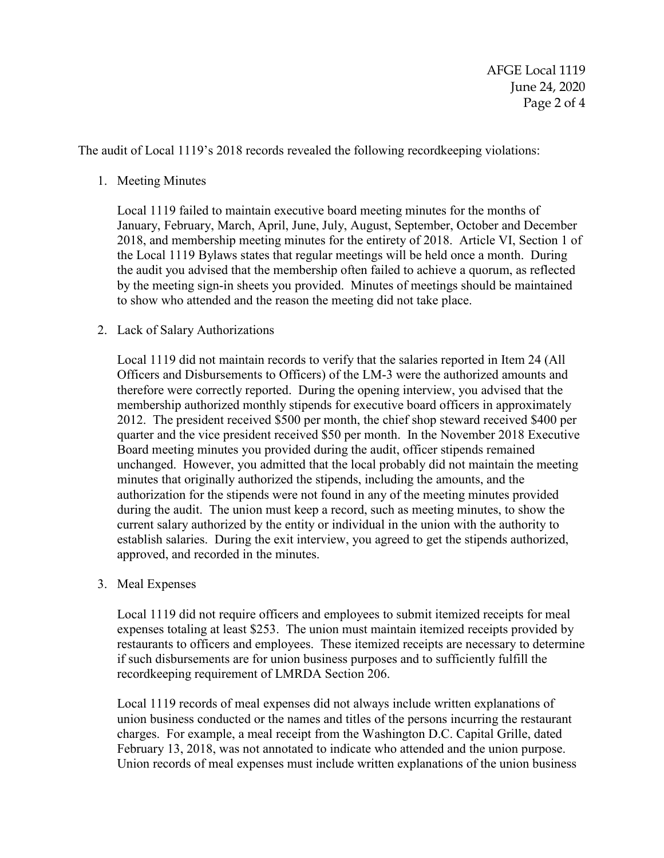The audit of Local 1119's 2018 records revealed the following recordkeeping violations:

#### 1. Meeting Minutes

Local 1119 failed to maintain executive board meeting minutes for the months of January, February, March, April, June, July, August, September, October and December 2018, and membership meeting minutes for the entirety of 2018. Article VI, Section 1 of the Local 1119 Bylaws states that regular meetings will be held once a month. During the audit you advised that the membership often failed to achieve a quorum, as reflected by the meeting sign-in sheets you provided. Minutes of meetings should be maintained to show who attended and the reason the meeting did not take place.

### 2. Lack of Salary Authorizations

Local 1119 did not maintain records to verify that the salaries reported in Item 24 (All Officers and Disbursements to Officers) of the LM-3 were the authorized amounts and therefore were correctly reported. During the opening interview, you advised that the membership authorized monthly stipends for executive board officers in approximately 2012. The president received \$500 per month, the chief shop steward received \$400 per quarter and the vice president received \$50 per month. In the November 2018 Executive Board meeting minutes you provided during the audit, officer stipends remained unchanged. However, you admitted that the local probably did not maintain the meeting minutes that originally authorized the stipends, including the amounts, and the authorization for the stipends were not found in any of the meeting minutes provided during the audit. The union must keep a record, such as meeting minutes, to show the current salary authorized by the entity or individual in the union with the authority to establish salaries. During the exit interview, you agreed to get the stipends authorized, approved, and recorded in the minutes.

### 3. Meal Expenses

Local 1119 did not require officers and employees to submit itemized receipts for meal expenses totaling at least \$253. The union must maintain itemized receipts provided by restaurants to officers and employees. These itemized receipts are necessary to determine if such disbursements are for union business purposes and to sufficiently fulfill the recordkeeping requirement of LMRDA Section 206.

Local 1119 records of meal expenses did not always include written explanations of union business conducted or the names and titles of the persons incurring the restaurant charges. For example, a meal receipt from the Washington D.C. Capital Grille, dated February 13, 2018, was not annotated to indicate who attended and the union purpose. Union records of meal expenses must include written explanations of the union business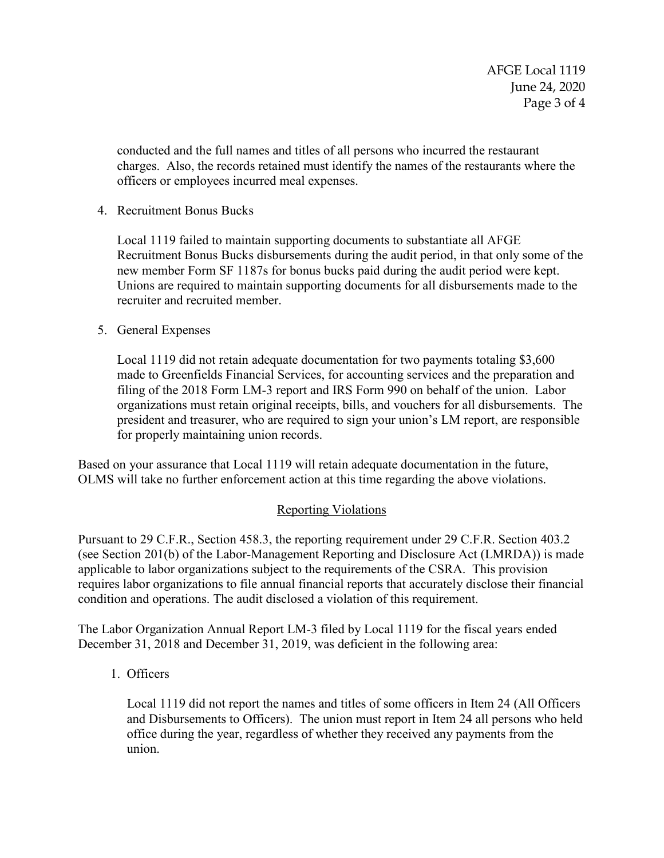officers or employees incurred meal expenses. 4. Recruitment Bonus Bucks conducted and the full names and titles of all persons who incurred the restaurant charges. Also, the records retained must identify the names of the restaurants where the

4 Recruitment Bonus Bucks

 new member Form SF 1187s for bonus bucks paid during the audit period were kept. Local 1119 failed to maintain supporting documents to substantiate all AFGE Recruitment Bonus Bucks disbursements during the audit period, in that only some of the Unions are required to maintain supporting documents for all disbursements made to the recruiter and recruited member.

5. General Expenses

 president and treasurer, who are required to sign your union's LM report, are responsible Local 1119 did not retain adequate documentation for two payments totaling \$3,600 made to Greenfields Financial Services, for accounting services and the preparation and filing of the 2018 Form LM-3 report and IRS Form 990 on behalf of the union. Labor organizations must retain original receipts, bills, and vouchers for all disbursements. The for properly maintaining union records.

 Based on your assurance that Local 1119 will retain adequate documentation in the future, OLMS will take no further enforcement action at this time regarding the above violations.

## Reporting Violations

Pursuant to 29 C.F.R., Section 458.3, the reporting requirement under 29 C.F.R. Section 403.2 (see Section 201(b) of the Labor-Management Reporting and Disclosure Act (LMRDA)) is made applicable to labor organizations subject to the requirements of the CSRA. This provision requires labor organizations to file annual financial reports that accurately disclose their financial condition and operations. The audit disclosed a violation of this requirement.

The Labor Organization Annual Report LM-3 filed by Local 1119 for the fiscal years ended December 31, 2018 and December 31, 2019, was deficient in the following area:

1. Officers

Local 1119 did not report the names and titles of some officers in Item 24 (All Officers and Disbursements to Officers). The union must report in Item 24 all persons who held office during the year, regardless of whether they received any payments from the union.